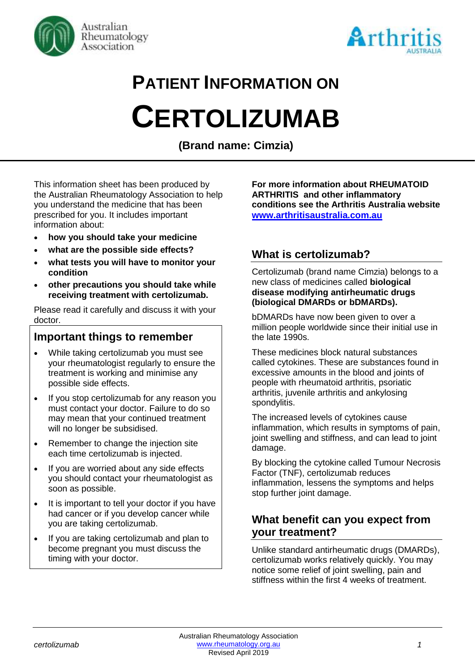



# **PATIENT INFORMATION ON**

# **CERTOLIZUMAB**

**(Brand name: Cimzia)**

This information sheet has been produced by the Australian Rheumatology Association to help you understand the medicine that has been prescribed for you. It includes important information about:

- **how you should take your medicine**
- **what are the possible side effects?**
- **what tests you will have to monitor your condition**
- **other precautions you should take while receiving treatment with certolizumab.**

Please read it carefully and discuss it with your doctor.

## **Important things to remember**

- While taking certolizumab you must see your rheumatologist regularly to ensure the treatment is working and minimise any possible side effects.
- If you stop certolizumab for any reason you must contact your doctor. Failure to do so may mean that your continued treatment will no longer be subsidised.
- Remember to change the injection site each time certolizumab is injected.
- If you are worried about any side effects you should contact your rheumatologist as soon as possible.
- It is important to tell your doctor if you have had cancer or if you develop cancer while you are taking certolizumab.
- If you are taking certolizumab and plan to become pregnant you must discuss the timing with your doctor.

**For more information about RHEUMATOID ARTHRITIS and other inflammatory conditions see the Arthritis Australia website [www.arthritisaustralia.com.au](http://www.arthritisaustralia.com.au/)**

## **What is certolizumab?**

Certolizumab (brand name Cimzia) belongs to a new class of medicines called **biological disease modifying antirheumatic drugs (biological DMARDs or bDMARDs).** 

bDMARDs have now been given to over a million people worldwide since their initial use in the late 1990s.

These medicines block natural substances called cytokines. These are substances found in excessive amounts in the blood and joints of people with rheumatoid arthritis, psoriatic arthritis, juvenile arthritis and ankylosing spondylitis.

The increased levels of cytokines cause inflammation, which results in symptoms of pain, joint swelling and stiffness, and can lead to joint damage.

By blocking the cytokine called Tumour Necrosis Factor (TNF), certolizumab reduces inflammation, lessens the symptoms and helps stop further joint damage.

### **What benefit can you expect from your treatment?**

Unlike standard antirheumatic drugs (DMARDs), certolizumab works relatively quickly. You may notice some relief of joint swelling, pain and stiffness within the first 4 weeks of treatment.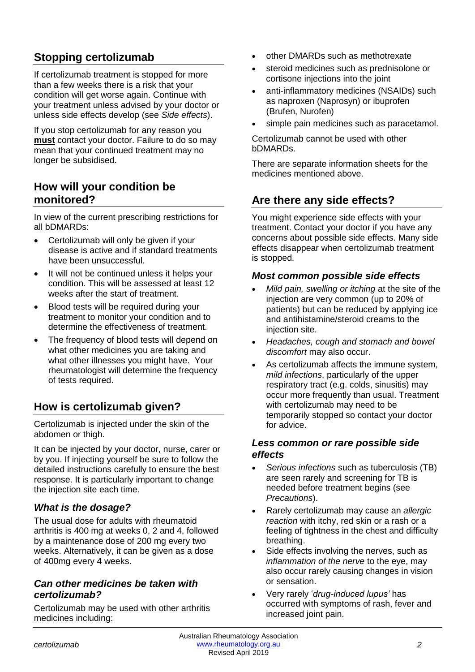## **Stopping certolizumab**

If certolizumab treatment is stopped for more than a few weeks there is a risk that your condition will get worse again. Continue with your treatment unless advised by your doctor or unless side effects develop (see *Side effects*).

If you stop certolizumab for any reason you **must** contact your doctor. Failure to do so may mean that your continued treatment may no longer be subsidised.

### **How will your condition be monitored?**

In view of the current prescribing restrictions for all bDMARDs:

- Certolizumab will only be given if your disease is active and if standard treatments have been unsuccessful.
- It will not be continued unless it helps your condition. This will be assessed at least 12 weeks after the start of treatment.
- Blood tests will be required during your treatment to monitor your condition and to determine the effectiveness of treatment.
- The frequency of blood tests will depend on what other medicines you are taking and what other illnesses you might have. Your rheumatologist will determine the frequency of tests required.

## **How is certolizumab given?**

Certolizumab is injected under the skin of the abdomen or thigh.

It can be injected by your doctor, nurse, carer or by you. If injecting yourself be sure to follow the detailed instructions carefully to ensure the best response. It is particularly important to change the injection site each time.

#### *What is the dosage?*

The usual dose for adults with rheumatoid arthritis is 400 mg at weeks 0, 2 and 4, followed by a maintenance dose of 200 mg every two weeks. Alternatively, it can be given as a dose of 400mg every 4 weeks.

#### *Can other medicines be taken with certolizumab?*

Certolizumab may be used with other arthritis medicines including:

- other DMARDs such as methotrexate
- steroid medicines such as prednisolone or cortisone injections into the joint
- anti-inflammatory medicines (NSAIDs) such as naproxen (Naprosyn) or ibuprofen (Brufen, Nurofen)
- simple pain medicines such as paracetamol.

Certolizumab cannot be used with other bDMARDs.

There are separate information sheets for the medicines mentioned above.

## **Are there any side effects?**

You might experience side effects with your treatment. Contact your doctor if you have any concerns about possible side effects. Many side effects disappear when certolizumab treatment is stopped.

#### *Most common possible side effects*

- *Mild pain, swelling or itching* at the site of the injection are very common (up to 20% of patients) but can be reduced by applying ice and antihistamine/steroid creams to the injection site.
- *Headaches, cough and stomach and bowel discomfort* may also occur.
- As certolizumab affects the immune system, *mild infections*, particularly of the upper respiratory tract (e.g. colds, sinusitis) may occur more frequently than usual. Treatment with certolizumab may need to be temporarily stopped so contact your doctor for advice.

#### *Less common or rare possible side effects*

- *Serious infections* such as tuberculosis (TB) are seen rarely and screening for TB is needed before treatment begins (see *Precautions*).
- Rarely certolizumab may cause an *allergic reaction* with itchy, red skin or a rash or a feeling of tightness in the chest and difficulty breathing.
- Side effects involving the nerves, such as *inflammation of the nerve* to the eye, may also occur rarely causing changes in vision or sensation.
- Very rarely '*drug-induced lupus'* has occurred with symptoms of rash, fever and increased joint pain.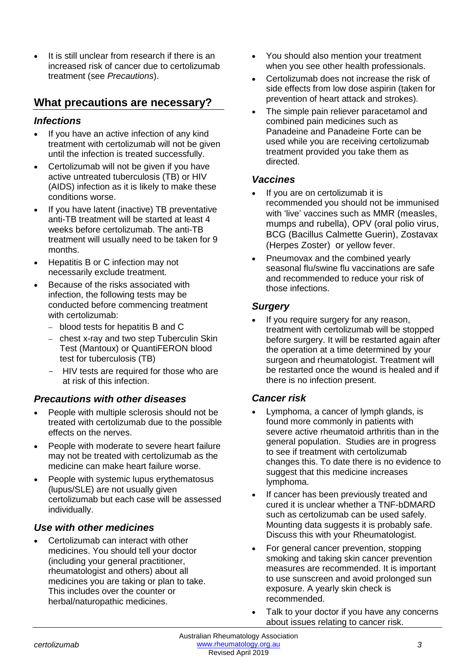It is still unclear from research if there is an increased risk of cancer due to certolizumab treatment (see *Precautions*).

### **What precautions are necessary?**

#### *Infections*

- If you have an active infection of any kind treatment with certolizumab will not be given until the infection is treated successfully.
- Certolizumab will not be given if you have active untreated tuberculosis (TB) or HIV (AIDS) infection as it is likely to make these conditions worse.
- If you have latent (inactive) TB preventative anti-TB treatment will be started at least 4 weeks before certolizumab. The anti-TB treatment will usually need to be taken for 9 months.
- Hepatitis B or C infection may not necessarily exclude treatment.
- Because of the risks associated with infection, the following tests may be conducted before commencing treatment with certolizumab:
	- − blood tests for hepatitis B and C
	- − chest x-ray and two step Tuberculin Skin Test (Mantoux) or QuantiFERON blood test for tuberculosis (TB)
	- HIV tests are required for those who are at risk of this infection.

#### *Precautions with other diseases*

- People with multiple sclerosis should not be treated with certolizumab due to the possible effects on the nerves.
- People with moderate to severe heart failure may not be treated with certolizumab as the medicine can make heart failure worse.
- People with systemic lupus erythematosus (lupus/SLE) are not usually given certolizumab but each case will be assessed individually.

#### *Use with other medicines*

• Certolizumab can interact with other medicines. You should tell your doctor (including your general practitioner, rheumatologist and others) about all medicines you are taking or plan to take. This includes over the counter or herbal/naturopathic medicines.

- You should also mention your treatment when you see other health professionals.
- Certolizumab does not increase the risk of side effects from low dose aspirin (taken for prevention of heart attack and strokes).
- The simple pain reliever paracetamol and combined pain medicines such as Panadeine and Panadeine Forte can be used while you are receiving certolizumab treatment provided you take them as directed.

#### *Vaccines*

- If you are on certolizumab it is recommended you should not be immunised with 'live' vaccines such as MMR (measles, mumps and rubella), OPV (oral polio virus, BCG (Bacillus Calmette Guerin), Zostavax (Herpes Zoster) or yellow fever.
- Pneumovax and the combined yearly seasonal flu/swine flu vaccinations are safe and recommended to reduce your risk of those infections.

#### *Surgery*

If you require surgery for any reason, treatment with certolizumab will be stopped before surgery. It will be restarted again after the operation at a time determined by your surgeon and rheumatologist. Treatment will be restarted once the wound is healed and if there is no infection present.

#### *Cancer risk*

- Lymphoma, a cancer of lymph glands, is found more commonly in patients with severe active rheumatoid arthritis than in the general population. Studies are in progress to see if treatment with certolizumab changes this. To date there is no evidence to suggest that this medicine increases lymphoma.
- If cancer has been previously treated and cured it is unclear whether a TNF-bDMARD such as certolizumab can be used safely. Mounting data suggests it is probably safe. Discuss this with your Rheumatologist.
- For general cancer prevention, stopping smoking and taking skin cancer prevention measures are recommended. It is important to use sunscreen and avoid prolonged sun exposure. A yearly skin check is recommended.
- Talk to your doctor if you have any concerns about issues relating to cancer risk.